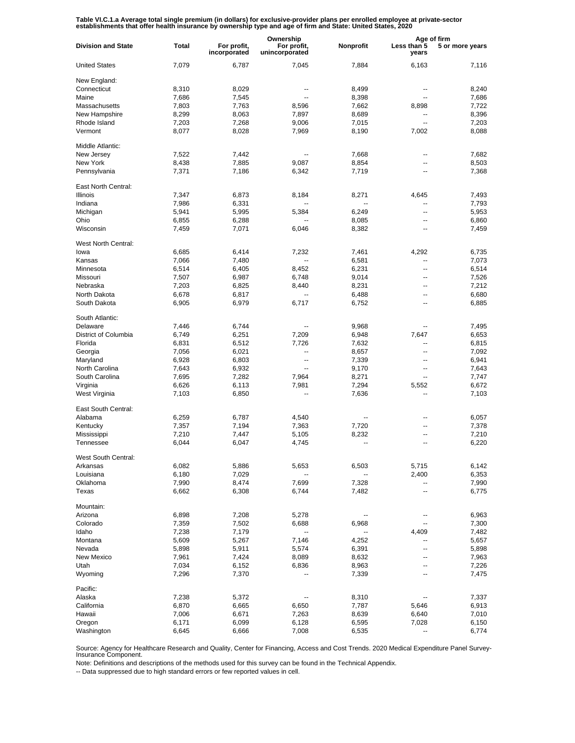Table VI.C.1.a Average total single premium (in dollars) for exclusive-provider plans per enrolled employee at private-sector<br>establishments that offer health insurance by ownership type and age of firm and State: United S

|                           |       |                             | Ownership                     |           | Age of firm              |                 |
|---------------------------|-------|-----------------------------|-------------------------------|-----------|--------------------------|-----------------|
| <b>Division and State</b> | Total | For profit,<br>incorporated | For profit,<br>unincorporated | Nonprofit | Less than 5<br>years     | 5 or more years |
| <b>United States</b>      | 7,079 | 6,787                       | 7,045                         | 7,884     | 6,163                    | 7.116           |
| New England:              |       |                             |                               |           |                          |                 |
| Connecticut               | 8,310 | 8,029                       |                               | 8,499     | $\overline{\phantom{a}}$ | 8,240           |
| Maine                     | 7,686 | 7,545                       | $\overline{a}$                | 8,398     | $\overline{a}$           | 7,686           |
| Massachusetts             | 7,803 | 7,763                       | 8,596                         | 7,662     | 8,898                    | 7,722           |
| New Hampshire             | 8,299 | 8,063                       | 7,897                         | 8,689     | $\overline{a}$           | 8,396           |
| Rhode Island              | 7,203 | 7,268                       | 9,006                         | 7,015     | Ξ.                       | 7,203           |
| Vermont                   | 8,077 | 8,028                       | 7,969                         | 8,190     | 7,002                    | 8,088           |
| Middle Atlantic:          |       |                             |                               |           |                          |                 |
| New Jersey                | 7,522 | 7.442                       |                               | 7,668     | --                       | 7,682           |
| New York                  | 8,438 | 7,885                       | 9,087                         | 8,854     | --                       | 8,503           |
| Pennsylvania              | 7,371 | 7,186                       | 6,342                         | 7,719     | --                       | 7,368           |
| East North Central:       |       |                             |                               |           |                          |                 |
| <b>Illinois</b>           | 7,347 | 6,873                       | 8,184                         | 8,271     | 4,645                    | 7,493           |
| Indiana                   | 7,986 | 6,331                       | --                            | --        | --                       | 7,793           |
| Michigan                  | 5,941 | 5,995                       | 5,384                         | 6,249     | --                       | 5,953           |
| Ohio                      | 6,855 | 6,288                       |                               | 8,085     | --                       | 6,860           |
| Wisconsin                 | 7,459 | 7,071                       | 6,046                         | 8,382     | --                       | 7,459           |
| West North Central:       |       |                             |                               |           |                          |                 |
| lowa                      | 6,685 | 6,414                       | 7,232                         | 7,461     | 4,292                    | 6,735           |
| Kansas                    | 7,066 | 7,480                       | Щ,                            | 6,581     | $\overline{a}$           | 7,073           |
| Minnesota                 | 6,514 | 6,405                       | 8,452                         | 6,231     | $\overline{a}$           | 6,514           |
|                           |       |                             |                               |           | $\overline{a}$           |                 |
| Missouri                  | 7,507 | 6,987                       | 6,748                         | 9,014     |                          | 7,526           |
| Nebraska                  | 7,203 | 6,825                       | 8,440                         | 8,231     | $\overline{a}$           | 7,212           |
| North Dakota              | 6,678 | 6,817                       | --                            | 6,488     | $\overline{a}$           | 6,680           |
| South Dakota              | 6,905 | 6,979                       | 6,717                         | 6,752     | $\overline{a}$           | 6,885           |
| South Atlantic:           |       |                             |                               |           |                          |                 |
| Delaware                  | 7,446 | 6,744                       |                               | 9,968     |                          | 7,495           |
| District of Columbia      | 6,749 | 6,251                       | 7,209                         | 6,948     | 7,647                    | 6,653           |
| Florida                   | 6,831 | 6,512                       | 7,726                         | 7,632     | --                       | 6,815           |
| Georgia                   | 7,056 | 6,021                       | --                            | 8,657     | --                       | 7,092           |
| Maryland                  | 6,928 | 6,803                       | $\overline{a}$                | 7,339     | --                       | 6,941           |
| North Carolina            | 7,643 | 6,932                       | $\overline{a}$                | 9,170     | --                       | 7,643           |
| South Carolina            | 7,695 | 7,282                       | 7,964                         | 8,271     | --                       | 7,747           |
| Virginia                  | 6,626 | 6,113                       | 7,981                         | 7,294     | 5,552                    | 6,672           |
| West Virginia             | 7,103 | 6,850                       |                               | 7,636     | --                       | 7,103           |
|                           |       |                             |                               |           |                          |                 |
| East South Central:       |       |                             |                               |           |                          |                 |
| Alabama                   | 6,259 | 6,787                       | 4,540                         | --        | --                       | 6,057           |
| Kentucky                  | 7,357 | 7,194                       | 7,363                         | 7,720     | --                       | 7,378           |
| Mississippi               | 7,210 | 7,447                       | 5,105                         | 8,232     |                          | 7,210           |
| Tennessee                 | 6,044 | 6,047                       | 4,745                         | --        | --                       | 6,220           |
| West South Central:       |       |                             |                               |           |                          |                 |
| Arkansas                  | 6,082 | 5,886                       | 5,653                         | 6,503     | 5,715                    | 6,142           |
| Louisiana                 | 6,180 | 7,029                       |                               |           | 2,400                    | 6,353           |
| Oklahoma                  | 7,990 | 8,474                       | 7,699                         | 7,328     | --                       | 7,990           |
| Texas                     | 6,662 | 6,308                       | 6,744                         | 7,482     | Ξ.                       | 6,775           |
| Mountain:                 |       |                             |                               |           |                          |                 |
| Arizona                   | 6,898 | 7,208                       | 5,278                         |           | ۰.                       | 6,963           |
| Colorado                  | 7,359 | 7,502                       | 6,688                         | 6,968     |                          | 7,300           |
| Idaho                     | 7,238 | 7,179                       |                               |           | 4,409                    | 7,482           |
| Montana                   | 5,609 | 5,267                       | 7,146                         | 4,252     |                          | 5,657           |
| Nevada                    | 5,898 | 5,911                       | 5,574                         | 6,391     | --                       | 5,898           |
| New Mexico                | 7,961 | 7,424                       | 8,089                         | 8,632     | --                       | 7,963           |
| Utah                      | 7,034 | 6,152                       | 6,836                         | 8,963     | --                       | 7,226           |
| Wyoming                   | 7,296 | 7,370                       |                               | 7,339     | --                       | 7,475           |
| Pacific:                  |       |                             |                               |           |                          |                 |
| Alaska                    |       | 5,372                       |                               |           | --                       |                 |
|                           | 7,238 |                             |                               | 8,310     |                          | 7,337           |
| California                | 6,870 | 6,665                       | 6,650                         | 7,787     | 5,646                    | 6,913           |
| Hawaii                    | 7,006 | 6,671                       | 7,263                         | 8,639     | 6,640                    | 7,010           |
| Oregon                    | 6,171 | 6,099                       | 6,128                         | 6,595     | 7,028                    | 6,150           |
| Washington                | 6,645 | 6,666                       | 7,008                         | 6,535     |                          | 6,774           |

Source: Agency for Healthcare Research and Quality, Center for Financing, Access and Cost Trends. 2020 Medical Expenditure Panel Survey-Insurance Component.

Note: Definitions and descriptions of the methods used for this survey can be found in the Technical Appendix.

-- Data suppressed due to high standard errors or few reported values in cell.